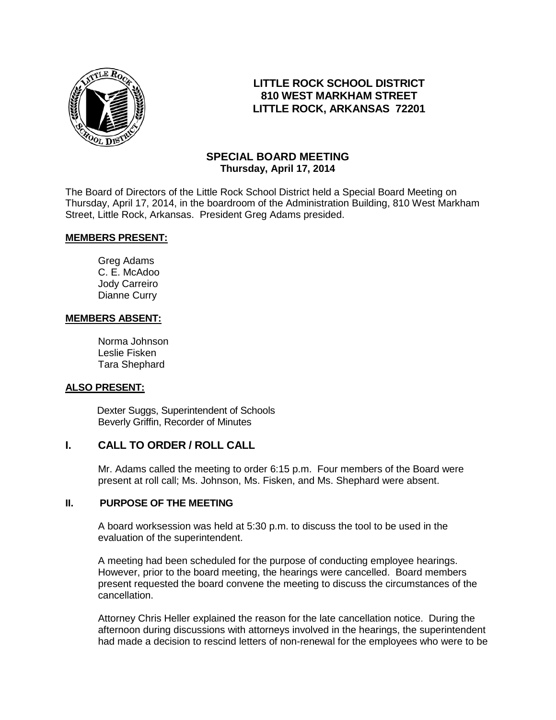

# **LITTLE ROCK SCHOOL DISTRICT 810 WEST MARKHAM STREET LITTLE ROCK, ARKANSAS 72201**

# **SPECIAL BOARD MEETING Thursday, April 17, 2014**

The Board of Directors of the Little Rock School District held a Special Board Meeting on Thursday, April 17, 2014, in the boardroom of the Administration Building, 810 West Markham Street, Little Rock, Arkansas. President Greg Adams presided.

#### **MEMBERS PRESENT:**

Greg Adams C. E. McAdoo Jody Carreiro Dianne Curry

#### **MEMBERS ABSENT:**

Norma Johnson Leslie Fisken Tara Shephard

## **ALSO PRESENT:**

 Dexter Suggs, Superintendent of Schools Beverly Griffin, Recorder of Minutes

## **I. CALL TO ORDER / ROLL CALL**

Mr. Adams called the meeting to order 6:15 p.m. Four members of the Board were present at roll call; Ms. Johnson, Ms. Fisken, and Ms. Shephard were absent.

#### **II. PURPOSE OF THE MEETING**

A board worksession was held at 5:30 p.m. to discuss the tool to be used in the evaluation of the superintendent.

A meeting had been scheduled for the purpose of conducting employee hearings. However, prior to the board meeting, the hearings were cancelled. Board members present requested the board convene the meeting to discuss the circumstances of the cancellation.

Attorney Chris Heller explained the reason for the late cancellation notice. During the afternoon during discussions with attorneys involved in the hearings, the superintendent had made a decision to rescind letters of non-renewal for the employees who were to be